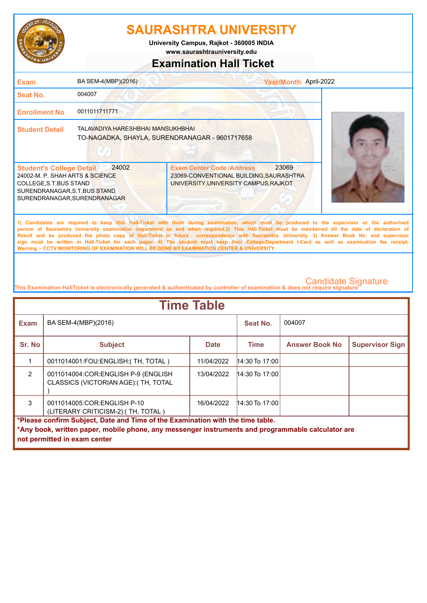

**www.saurashtrauniversity.edu University Campus, Rajkot - 360005 INDIA**

### **Examination Hall Ticket**

| <b>Exam</b>                                                                                                                                                  | BA SEM-4(MBP)(2016)                                                                 |                                                                                                                      | Year/Month April-2022                                                                                                                                                                                                                                                                                                                                                                                                                                                                                                                                                                                  |  |
|--------------------------------------------------------------------------------------------------------------------------------------------------------------|-------------------------------------------------------------------------------------|----------------------------------------------------------------------------------------------------------------------|--------------------------------------------------------------------------------------------------------------------------------------------------------------------------------------------------------------------------------------------------------------------------------------------------------------------------------------------------------------------------------------------------------------------------------------------------------------------------------------------------------------------------------------------------------------------------------------------------------|--|
| Seat No.                                                                                                                                                     | 004007                                                                              |                                                                                                                      |                                                                                                                                                                                                                                                                                                                                                                                                                                                                                                                                                                                                        |  |
| <b>Enrollment No</b>                                                                                                                                         | 0011011711771                                                                       |                                                                                                                      |                                                                                                                                                                                                                                                                                                                                                                                                                                                                                                                                                                                                        |  |
| <b>Student Detail</b>                                                                                                                                        | TALAVADIYA HARESHBHAI MANSUKHBHAI<br>TO-NAGADKA, SHAYLA, SURENDRANAGAR - 9601717658 |                                                                                                                      |                                                                                                                                                                                                                                                                                                                                                                                                                                                                                                                                                                                                        |  |
| <b>Student's College Detail</b><br>24002-M. P. SHAH ARTS & SCIENCE<br>COLLEGE, S.T.BUS STAND<br>SURENDRANAGAR, S.T.BUS STAND<br>SURENDRANAGAR, SURENDRANAGAR | 24002                                                                               | <b>Exam Center Code /Address</b><br>23069-CONVENTIONAL BUILDING, SAURASHTRA<br>UNIVERSITY, UNIVERSITY CAMPUS, RAJKOT | 23069                                                                                                                                                                                                                                                                                                                                                                                                                                                                                                                                                                                                  |  |
|                                                                                                                                                              |                                                                                     | Warning :- CCTV MONITORING OF EXAMINATION WILL BE DONE BY EXAMINATION CENTER & UNIVERSITY                            | 1) Candidates are required to keep this Hall-Ticket with them during examination, which must be produced to the supervisor or the authorised<br>person of Saurashtra University examination department as and when required.2) This Hall-Ticket must be maintained till the date of declaration of<br>Result and be produced the photo copy of Hall-Ticket in future correspondence with Saurashtra. University. 3) Answer Book No. and supervisor<br>sign must be written in Hall-Ticket for each paper. 4) The student must keep their College/Department I-Card as well as examination fee receipt. |  |

| <b>Time Table</b>                                                                                                                                                                                                   |                                                                             |             |                  |                       |                        |  |
|---------------------------------------------------------------------------------------------------------------------------------------------------------------------------------------------------------------------|-----------------------------------------------------------------------------|-------------|------------------|-----------------------|------------------------|--|
| Exam                                                                                                                                                                                                                | BA SEM-4(MBP)(2016)                                                         |             | Seat No.         | 004007                |                        |  |
| Sr. No                                                                                                                                                                                                              | <b>Subject</b>                                                              | <b>Date</b> | <b>Time</b>      | <b>Answer Book No</b> | <b>Supervisor Sign</b> |  |
|                                                                                                                                                                                                                     | 0011014001: FOU: ENGLISH: (TH, TOTAL)                                       | 11/04/2022  | $14:30$ To 17:00 |                       |                        |  |
| $\mathfrak{p}$                                                                                                                                                                                                      | 0011014004:COR:ENGLISH P-9 (ENGLISH<br>CLASSICS (VICTORIAN AGE): (TH, TOTAL | 13/04/2022  | $14:30$ To 17:00 |                       |                        |  |
| 3                                                                                                                                                                                                                   | 0011014005:COR:ENGLISH P-10<br>(LITERARY CRITICISM-2): (TH, TOTAL)          | 16/04/2022  | $14:30$ To 17:00 |                       |                        |  |
| *Please confirm Subject, Date and Time of the Examination with the time table.<br>*Any book, written paper, mobile phone, any messenger instruments and programmable calculator are<br>not permitted in exam center |                                                                             |             |                  |                       |                        |  |
|                                                                                                                                                                                                                     |                                                                             |             |                  |                       |                        |  |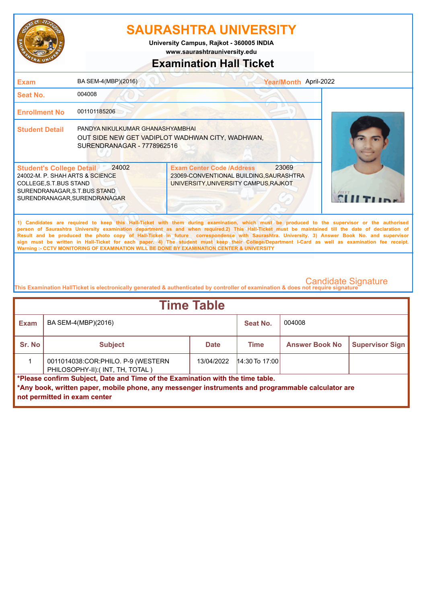

**www.saurashtrauniversity.edu University Campus, Rajkot - 360005 INDIA**

### **Examination Hall Ticket**

| <b>Exam</b>                                                                                                                                                   | BA SEM-4(MBP)(2016)                                                                                                | Year/Month April-2022                                                                                                                                                                                                                                                                                                                                                                                                                                                                                                                                                                                                                                                                               |        |
|---------------------------------------------------------------------------------------------------------------------------------------------------------------|--------------------------------------------------------------------------------------------------------------------|-----------------------------------------------------------------------------------------------------------------------------------------------------------------------------------------------------------------------------------------------------------------------------------------------------------------------------------------------------------------------------------------------------------------------------------------------------------------------------------------------------------------------------------------------------------------------------------------------------------------------------------------------------------------------------------------------------|--------|
| <b>Seat No.</b>                                                                                                                                               | 004008                                                                                                             |                                                                                                                                                                                                                                                                                                                                                                                                                                                                                                                                                                                                                                                                                                     |        |
| <b>Enrollment No</b>                                                                                                                                          | 001101185206                                                                                                       |                                                                                                                                                                                                                                                                                                                                                                                                                                                                                                                                                                                                                                                                                                     |        |
| <b>Student Detail</b>                                                                                                                                         | PANDYA NIKULKUMAR GHANASHYAMBHAI<br>OUT SIDE NEW GET VADIPLOT WADHWAN CITY, WADHWAN,<br>SURENDRANAGAR - 7778962516 |                                                                                                                                                                                                                                                                                                                                                                                                                                                                                                                                                                                                                                                                                                     |        |
| <b>Student's College Detail</b><br>24002-M. P. SHAH ARTS & SCIENCE<br>COLLEGE, S.T. BUS STAND<br>SURENDRANAGAR, S.T.BUS STAND<br>SURENDRANAGAR, SURENDRANAGAR | 24002                                                                                                              | 23069<br><b>Exam Center Code /Address</b><br>23069-CONVENTIONAL BUILDING, SAURASHTRA<br>UNIVERSITY, UNIVERSITY CAMPUS, RAJKOT                                                                                                                                                                                                                                                                                                                                                                                                                                                                                                                                                                       | LANKET |
|                                                                                                                                                               |                                                                                                                    | 1) Candidates are required to keep this Hall-Ticket with them during examination, which must be produced to the supervisor or the authorised<br>person of Saurashtra University examination department as and when required.2) This Hall-Ticket must be maintained till the date of declaration of<br>Result and be produced the photo copy of Hall-Ticket in future correspondence with Saurashtra. University. 3) Answer Book No. and supervisor<br>sign must be written in Hall-Ticket for each paper. 4) The student must keep their College/Department I-Card as well as examination fee receipt.<br>Warning :- CCTV MONITORING OF EXAMINATION WILL BE DONE BY EXAMINATION CENTER & UNIVERSITY |        |

| <b>Time Table</b>                                                                                                                                                                                                   |                                                                         |             |                  |                       |                        |  |
|---------------------------------------------------------------------------------------------------------------------------------------------------------------------------------------------------------------------|-------------------------------------------------------------------------|-------------|------------------|-----------------------|------------------------|--|
| <b>Exam</b>                                                                                                                                                                                                         | BA SEM-4(MBP)(2016)                                                     |             | Seat No.         | 004008                |                        |  |
| Sr. No                                                                                                                                                                                                              | <b>Subject</b>                                                          | <b>Date</b> | <b>Time</b>      | <b>Answer Book No</b> | <b>Supervisor Sign</b> |  |
|                                                                                                                                                                                                                     | 0011014038: COR: PHILO. P-9 (WESTERN<br>PHILOSOPHY-II):(INT, TH, TOTAL) | 13/04/2022  | $14:30$ To 17:00 |                       |                        |  |
| *Please confirm Subject, Date and Time of the Examination with the time table.<br>*Any book, written paper, mobile phone, any messenger instruments and programmable calculator are<br>not permitted in exam center |                                                                         |             |                  |                       |                        |  |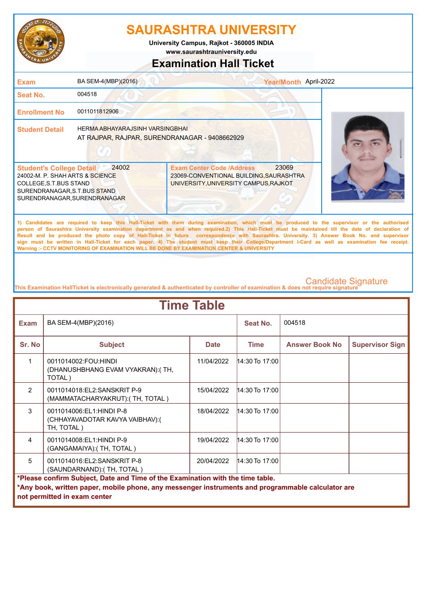

**www.saurashtrauniversity.edu University Campus, Rajkot - 360005 INDIA**

# **Examination Hall Ticket**

| <b>Exam</b>                                                                                                                                                  | BA SEM-4(MBP)(2016)                                                              | Year/Month April-2022                                                                                                                                                                                                                                                                                                                                                                                                                                                                                                                                                                                                                                                                               |  |
|--------------------------------------------------------------------------------------------------------------------------------------------------------------|----------------------------------------------------------------------------------|-----------------------------------------------------------------------------------------------------------------------------------------------------------------------------------------------------------------------------------------------------------------------------------------------------------------------------------------------------------------------------------------------------------------------------------------------------------------------------------------------------------------------------------------------------------------------------------------------------------------------------------------------------------------------------------------------------|--|
| Seat No.                                                                                                                                                     | 004518                                                                           |                                                                                                                                                                                                                                                                                                                                                                                                                                                                                                                                                                                                                                                                                                     |  |
| <b>Enrollment No</b>                                                                                                                                         | 0011011812906                                                                    |                                                                                                                                                                                                                                                                                                                                                                                                                                                                                                                                                                                                                                                                                                     |  |
| <b>Student Detail</b>                                                                                                                                        | HERMA ABHAYARAJSINH VARSINGBHAI<br>AT RAJPAR, RAJPAR, SURENDRANAGAR - 9408662929 |                                                                                                                                                                                                                                                                                                                                                                                                                                                                                                                                                                                                                                                                                                     |  |
| <b>Student's College Detail</b><br>24002-M. P. SHAH ARTS & SCIENCE<br>COLLEGE, S.T.BUS STAND<br>SURENDRANAGAR, S.T.BUS STAND<br>SURENDRANAGAR, SURENDRANAGAR | 24002                                                                            | 23069<br><b>Exam Center Code /Address</b><br>23069-CONVENTIONAL BUILDING, SAURASHTRA<br>UNIVERSITY, UNIVERSITY CAMPUS, RAJKOT                                                                                                                                                                                                                                                                                                                                                                                                                                                                                                                                                                       |  |
|                                                                                                                                                              |                                                                                  | 1) Candidates are required to keep this Hall-Ticket with them during examination, which must be produced to the supervisor or the authorised<br>person of Saurashtra University examination department as and when required.2) This Hall-Ticket must be maintained till the date of declaration of<br>Result and be produced the photo copy of Hall-Ticket in future correspondence with Saurashtra. University. 3) Answer Book No. and supervisor<br>sign must be written in Hall-Ticket for each paper. 4) The student must keep their College/Department I-Card as well as examination fee receipt.<br>Warning :- CCTV MONITORING OF EXAMINATION WILL BE DONE BY EXAMINATION CENTER & UNIVERSITY |  |

| <b>Time Table</b>                                                                                                                                                                                                   |                                                                           |             |                   |                       |                        |
|---------------------------------------------------------------------------------------------------------------------------------------------------------------------------------------------------------------------|---------------------------------------------------------------------------|-------------|-------------------|-----------------------|------------------------|
| <b>Exam</b>                                                                                                                                                                                                         | BA SEM-4(MBP)(2016)                                                       |             | Seat No.          | 004518                |                        |
| Sr. No                                                                                                                                                                                                              | <b>Subject</b>                                                            | <b>Date</b> | <b>Time</b>       | <b>Answer Book No</b> | <b>Supervisor Sign</b> |
| 1                                                                                                                                                                                                                   | 0011014002:FOU:HINDI<br>(DHANUSHBHANG EVAM VYAKRAN): (TH,<br>TOTAL)       | 11/04/2022  | 14:30 To 17:00    |                       |                        |
| $\mathfrak{p}$                                                                                                                                                                                                      | 0011014018:EL2:SANSKRIT P-9<br>(MAMMATACHARYAKRUT): (TH, TOTAL)           | 15/04/2022  | $ 14:30$ To 17:00 |                       |                        |
| $\mathcal{S}$                                                                                                                                                                                                       | 0011014006:EL1:HINDI P-8<br>(CHHAYAVADOTAR KAVYA VAIBHAV):(<br>TH, TOTAL) | 18/04/2022  | $14:30$ To 17:00  |                       |                        |
| $\overline{4}$                                                                                                                                                                                                      | 0011014008:EL1:HINDI P-9<br>(GANGAMAIYA): (TH, TOTAL)                     | 19/04/2022  | $14:30$ To 17:00  |                       |                        |
| 5                                                                                                                                                                                                                   | 0011014016:EL2:SANSKRIT P-8<br>(SAUNDARNAND): (TH, TOTAL)                 | 20/04/2022  | $14:30$ To 17:00  |                       |                        |
| *Please confirm Subject, Date and Time of the Examination with the time table.<br>*Any book, written paper, mobile phone, any messenger instruments and programmable calculator are<br>not permitted in exam center |                                                                           |             |                   |                       |                        |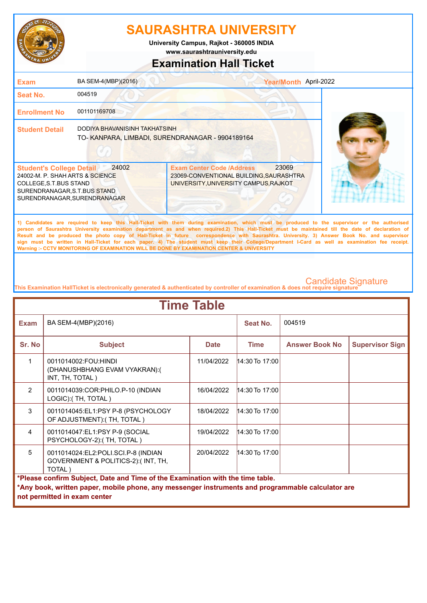

**University Campus, Rajkot - 360005 INDIA**

**www.saurashtrauniversity.edu**

#### **Examination Hall Ticket**

| <b>Exam</b>                                                                                                                                                  | BA SEM-4(MBP)(2016)                                                              |                                                                                                                                                                                                                                                                                                    | Year/Month April-2022 |  |
|--------------------------------------------------------------------------------------------------------------------------------------------------------------|----------------------------------------------------------------------------------|----------------------------------------------------------------------------------------------------------------------------------------------------------------------------------------------------------------------------------------------------------------------------------------------------|-----------------------|--|
| Seat No.                                                                                                                                                     | 004519                                                                           |                                                                                                                                                                                                                                                                                                    |                       |  |
| <b>Enrollment No</b>                                                                                                                                         | 001101169708                                                                     |                                                                                                                                                                                                                                                                                                    |                       |  |
| <b>Student Detail</b>                                                                                                                                        | DODIYA BHAVANISINH TAKHATSINH<br>TO-KANPARA, LIMBADI, SURENDRANAGAR - 9904189164 |                                                                                                                                                                                                                                                                                                    |                       |  |
| <b>Student's College Detail</b><br>24002-M. P. SHAH ARTS & SCIENCE<br>COLLEGE, S.T.BUS STAND<br>SURENDRANAGAR, S.T.BUS STAND<br>SURENDRANAGAR, SURENDRANAGAR | 24002                                                                            | <b>Exam Center Code /Address</b><br>23069-CONVENTIONAL BUILDING, SAURASHTRA<br>UNIVERSITY, UNIVERSITY CAMPUS, RAJKOT                                                                                                                                                                               | 23069                 |  |
|                                                                                                                                                              |                                                                                  | 1) Candidates are required to keep this Hall-Ticket with them during examination, which must be produced to the supervisor or the authorised<br>person of Saurashtra University examination department as and when required.2) This Hall-Ticket must be maintained till the date of declaration of |                       |  |

**Result and be produced the photo copy of Hall-Ticket in future correspondence with Saurashtra. University. 3) Answer Book No. and supervisor sign must be written in Hall-Ticket for each paper. 4) The student must keep their College/Department I-Card as well as examination fee receipt. Warning :- CCTV MONITORING OF EXAMINATION WILL BE DONE BY EXAMINATION CENTER & UNIVERSITY**

| <b>Time Table</b>                                                              |                                                                                                   |             |                  |                       |                        |  |
|--------------------------------------------------------------------------------|---------------------------------------------------------------------------------------------------|-------------|------------------|-----------------------|------------------------|--|
| <b>Exam</b>                                                                    | BA SEM-4(MBP)(2016)                                                                               |             | Seat No.         | 004519                |                        |  |
| Sr. No                                                                         | <b>Subject</b>                                                                                    | <b>Date</b> | <b>Time</b>      | <b>Answer Book No</b> | <b>Supervisor Sign</b> |  |
| 1                                                                              | 0011014002:FOU:HINDI<br>(DHANUSHBHANG EVAM VYAKRAN):(<br>INT, TH, TOTAL)                          | 11/04/2022  | $14:30$ To 17:00 |                       |                        |  |
| $\mathcal{P}$                                                                  | 0011014039:COR:PHILO.P-10 (INDIAN<br>LOGIC): (TH, TOTAL)                                          | 16/04/2022  | 14:30 To 17:00   |                       |                        |  |
| 3                                                                              | 0011014045:EL1:PSY P-8 (PSYCHOLOGY<br>OF ADJUSTMENT): (TH, TOTAL)                                 | 18/04/2022  | $14:30$ To 17:00 |                       |                        |  |
| 4                                                                              | 0011014047:EL1:PSY P-9 (SOCIAL<br>PSYCHOLOGY-2):(TH, TOTAL)                                       | 19/04/2022  | $14:30$ To 17:00 |                       |                        |  |
| 5                                                                              | 0011014024:EL2:POLI.SCI.P-8 (INDIAN<br>GOVERNMENT & POLITICS-2):(INT, TH,<br>TOTAL)               | 20/04/2022  | $14:30$ To 17:00 |                       |                        |  |
| *Please confirm Subject, Date and Time of the Examination with the time table. |                                                                                                   |             |                  |                       |                        |  |
|                                                                                | *Any book, written paper, mobile phone, any messenger instruments and programmable calculator are |             |                  |                       |                        |  |
|                                                                                | not permitted in exam center                                                                      |             |                  |                       |                        |  |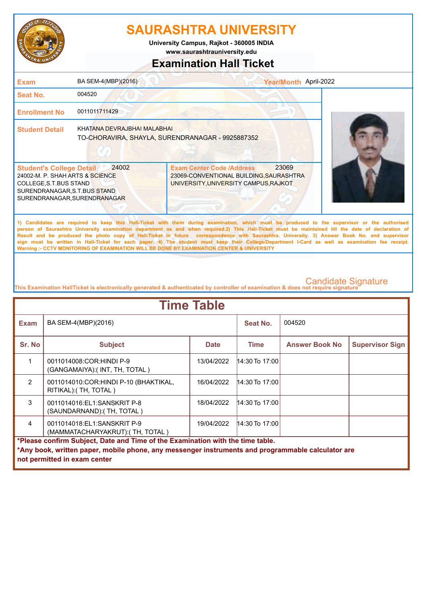

**www.saurashtrauniversity.edu University Campus, Rajkot - 360005 INDIA**

#### **Examination Hall Ticket**

| <b>Exam</b>                                                                                                                                                  | BA SEM-4(MBP)(2016)         |                                                                                                                               | Year/Month April-2022                                                                                                                                                                                                                                                                                                                                                                                                                                                                                                                                                                                  |
|--------------------------------------------------------------------------------------------------------------------------------------------------------------|-----------------------------|-------------------------------------------------------------------------------------------------------------------------------|--------------------------------------------------------------------------------------------------------------------------------------------------------------------------------------------------------------------------------------------------------------------------------------------------------------------------------------------------------------------------------------------------------------------------------------------------------------------------------------------------------------------------------------------------------------------------------------------------------|
| Seat No.                                                                                                                                                     | 004520                      |                                                                                                                               |                                                                                                                                                                                                                                                                                                                                                                                                                                                                                                                                                                                                        |
| <b>Enrollment No</b>                                                                                                                                         | 0011011711429               |                                                                                                                               |                                                                                                                                                                                                                                                                                                                                                                                                                                                                                                                                                                                                        |
| <b>Student Detail</b>                                                                                                                                        | KHATANA DEVRAJBHAI MALABHAI | TO-CHORAVIRA, SHAYLA, SURENDRANAGAR - 9925887352                                                                              |                                                                                                                                                                                                                                                                                                                                                                                                                                                                                                                                                                                                        |
| <b>Student's College Detail</b><br>24002-M. P. SHAH ARTS & SCIENCE<br>COLLEGE, S.T.BUS STAND<br>SURENDRANAGAR, S.T.BUS STAND<br>SURENDRANAGAR, SURENDRANAGAR | 24002                       | 23069<br><b>Exam Center Code /Address</b><br>23069-CONVENTIONAL BUILDING, SAURASHTRA<br>UNIVERSITY, UNIVERSITY CAMPUS, RAJKOT |                                                                                                                                                                                                                                                                                                                                                                                                                                                                                                                                                                                                        |
|                                                                                                                                                              |                             |                                                                                                                               | 1) Candidates are required to keep this Hall-Ticket with them during examination, which must be produced to the supervisor or the authorised<br>person of Saurashtra University examination department as and when required.2) This Hall-Ticket must be maintained till the date of declaration of<br>Result and be produced the photo copy of Hall-Ticket in future correspondence with Saurashtra. University. 3) Answer Book No. and supervisor<br>sign must be written in Hall-Ticket for each paper. 4) The student must keep their College/Department I-Card as well as examination fee receipt. |

**This Examination HallTicket is electronically generated & authenticated by controller of examination & does not require signature** 

**Warning :- CCTV MONITORING OF EXAMINATION WILL BE DONE BY EXAMINATION CENTER & UNIVERSITY**

| <b>Time Table</b>                                                                                                                                                                                                   |                                                                  |             |                  |                       |                        |
|---------------------------------------------------------------------------------------------------------------------------------------------------------------------------------------------------------------------|------------------------------------------------------------------|-------------|------------------|-----------------------|------------------------|
| <b>Exam</b>                                                                                                                                                                                                         | BA SEM-4(MBP)(2016)                                              |             | Seat No.         | 004520                |                        |
| Sr. No                                                                                                                                                                                                              | <b>Subject</b>                                                   | <b>Date</b> | Time             | <b>Answer Book No</b> | <b>Supervisor Sign</b> |
|                                                                                                                                                                                                                     | 0011014008:COR:HINDI P-9<br>(GANGAMAIYA):( INT, TH, TOTAL )      | 13/04/2022  | $14:30$ To 17:00 |                       |                        |
| $\mathcal{P}$                                                                                                                                                                                                       | 0011014010: COR: HINDI P-10 (BHAKTIKAL,<br>RITIKAL): (TH, TOTAL) | 16/04/2022  | $14:30$ To 17:00 |                       |                        |
| 3                                                                                                                                                                                                                   | 0011014016:EL1:SANSKRIT P-8<br>(SAUNDARNAND):( TH, TOTAL )       | 18/04/2022  | $14:30$ To 17:00 |                       |                        |
| $\overline{4}$                                                                                                                                                                                                      | 0011014018:EL1:SANSKRIT P-9<br>(MAMMATACHARYAKRUT): (TH, TOTAL)  | 19/04/2022  | $14:30$ To 17:00 |                       |                        |
| *Please confirm Subject, Date and Time of the Examination with the time table.<br>*Any book, written paper, mobile phone, any messenger instruments and programmable calculator are<br>not permitted in exam center |                                                                  |             |                  |                       |                        |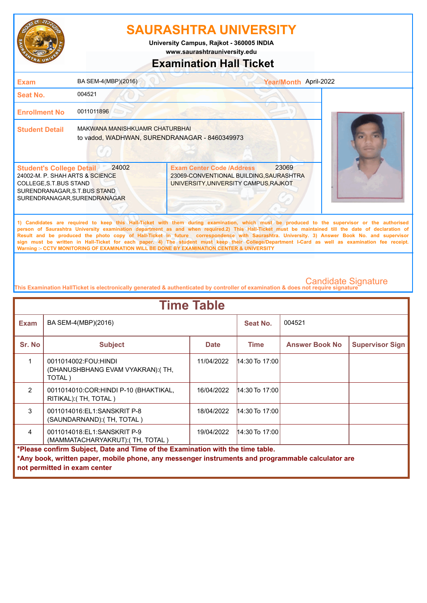

**University Campus, Rajkot - 360005 INDIA**

**www.saurashtrauniversity.edu**

#### **Examination Hall Ticket**

| <b>Exam</b>                                                                                                                                                  | BA SEM-4(MBP)(2016)                                                             |                                                                                                                                                                                                                                                                                                                                                                                                                                                                                                                                                                                                        | Year/Month April-2022 |  |
|--------------------------------------------------------------------------------------------------------------------------------------------------------------|---------------------------------------------------------------------------------|--------------------------------------------------------------------------------------------------------------------------------------------------------------------------------------------------------------------------------------------------------------------------------------------------------------------------------------------------------------------------------------------------------------------------------------------------------------------------------------------------------------------------------------------------------------------------------------------------------|-----------------------|--|
| Seat No.                                                                                                                                                     | 004521                                                                          |                                                                                                                                                                                                                                                                                                                                                                                                                                                                                                                                                                                                        |                       |  |
| <b>Enrollment No</b>                                                                                                                                         | 0011011896                                                                      |                                                                                                                                                                                                                                                                                                                                                                                                                                                                                                                                                                                                        |                       |  |
| <b>Student Detail</b>                                                                                                                                        | MAKWANA MANISHKUAMR CHATURBHAI<br>to vadod, WADHWAN, SURENDRANAGAR - 8460349973 |                                                                                                                                                                                                                                                                                                                                                                                                                                                                                                                                                                                                        |                       |  |
| <b>Student's College Detail</b><br>24002-M. P. SHAH ARTS & SCIENCE<br>COLLEGE, S.T.BUS STAND<br>SURENDRANAGAR, S.T.BUS STAND<br>SURENDRANAGAR, SURENDRANAGAR | 24002                                                                           | <b>Exam Center Code /Address</b><br>23069-CONVENTIONAL BUILDING, SAURASHTRA<br>UNIVERSITY, UNIVERSITY CAMPUS, RAJKOT                                                                                                                                                                                                                                                                                                                                                                                                                                                                                   | 23069                 |  |
|                                                                                                                                                              |                                                                                 | 1) Candidates are required to keep this Hall-Ticket with them during examination, which must be produced to the supervisor or the authorised<br>person of Saurashtra University examination department as and when required.2) This Hall-Ticket must be maintained till the date of declaration of<br>Result and be produced the photo copy of Hall-Ticket in future correspondence with Saurashtra. University. 3) Answer Book No. and supervisor<br>sign must be written in Hall-Ticket for each paper. 4) The student must keep their College/Department I-Card as well as examination fee receipt. |                       |  |

**This Examination HallTicket is electronically generated & authenticated by controller of examination & does not require signature** 

**Warning :- CCTV MONITORING OF EXAMINATION WILL BE DONE BY EXAMINATION CENTER & UNIVERSITY**

| <b>Time Table</b>                                                                                 |                                                                     |             |                  |                       |                        |  |
|---------------------------------------------------------------------------------------------------|---------------------------------------------------------------------|-------------|------------------|-----------------------|------------------------|--|
| <b>Exam</b>                                                                                       | BA SEM-4(MBP)(2016)                                                 |             | Seat No.         | 004521                |                        |  |
| Sr. No                                                                                            | <b>Subject</b>                                                      | <b>Date</b> | <b>Time</b>      | <b>Answer Book No</b> | <b>Supervisor Sign</b> |  |
|                                                                                                   | 0011014002:FOU:HINDI<br>(DHANUSHBHANG EVAM VYAKRAN): (TH,<br>TOTAL) | 11/04/2022  | 14:30 To 17:00   |                       |                        |  |
| $\overline{2}$                                                                                    | 0011014010:COR: HINDI P-10 (BHAKTIKAL,<br>RITIKAL): (TH, TOTAL)     | 16/04/2022  | $14:30$ To 17:00 |                       |                        |  |
| 3                                                                                                 | 0011014016:EL1:SANSKRIT P-8<br>(SAUNDARNAND): (TH, TOTAL)           | 18/04/2022  | $14:30$ To 17:00 |                       |                        |  |
| $\overline{4}$                                                                                    | 0011014018:EL1:SANSKRIT P-9<br>(MAMMATACHARYAKRUT): (TH, TOTAL)     | 19/04/2022  | $14:30$ To 17:00 |                       |                        |  |
| *Please confirm Subject, Date and Time of the Examination with the time table.                    |                                                                     |             |                  |                       |                        |  |
| *Any book, written paper, mobile phone, any messenger instruments and programmable calculator are |                                                                     |             |                  |                       |                        |  |
|                                                                                                   | not permitted in exam center                                        |             |                  |                       |                        |  |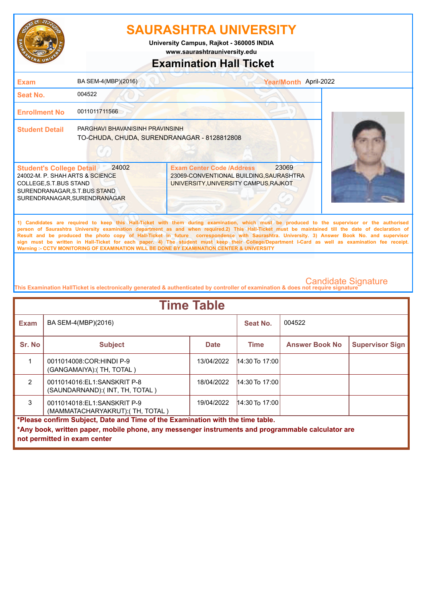

**University Campus, Rajkot - 360005 INDIA**

**www.saurashtrauniversity.edu**

#### **Examination Hall Ticket**

| <b>Exam</b>                                                                                                                                                  | BA SEM-4(MBP)(2016)                                                            |                                                                                                                      | Year/Month April-2022 |                                                                                                                                                                                                                                                                                                                                                                                                                                                                                                                                                                                                        |
|--------------------------------------------------------------------------------------------------------------------------------------------------------------|--------------------------------------------------------------------------------|----------------------------------------------------------------------------------------------------------------------|-----------------------|--------------------------------------------------------------------------------------------------------------------------------------------------------------------------------------------------------------------------------------------------------------------------------------------------------------------------------------------------------------------------------------------------------------------------------------------------------------------------------------------------------------------------------------------------------------------------------------------------------|
| <b>Seat No.</b>                                                                                                                                              | 004522                                                                         |                                                                                                                      |                       |                                                                                                                                                                                                                                                                                                                                                                                                                                                                                                                                                                                                        |
| <b>Enrollment No</b>                                                                                                                                         | 0011011711566                                                                  |                                                                                                                      |                       |                                                                                                                                                                                                                                                                                                                                                                                                                                                                                                                                                                                                        |
| <b>Student Detail</b>                                                                                                                                        | PARGHAVI BHAVANISINH PRAVINSINH<br>TO-CHUDA, CHUDA, SURENDRANAGAR - 8128812808 |                                                                                                                      |                       |                                                                                                                                                                                                                                                                                                                                                                                                                                                                                                                                                                                                        |
| <b>Student's College Detail</b><br>24002-M. P. SHAH ARTS & SCIENCE<br>COLLEGE, S.T.BUS STAND<br>SURENDRANAGAR, S.T.BUS STAND<br>SURENDRANAGAR, SURENDRANAGAR | 24002                                                                          | <b>Exam Center Code /Address</b><br>23069-CONVENTIONAL BUILDING, SAURASHTRA<br>UNIVERSITY, UNIVERSITY CAMPUS, RAJKOT | 23069                 |                                                                                                                                                                                                                                                                                                                                                                                                                                                                                                                                                                                                        |
|                                                                                                                                                              |                                                                                |                                                                                                                      |                       | 1) Candidates are required to keep this Hall-Ticket with them during examination, which must be produced to the supervisor or the authorised<br>person of Saurashtra University examination department as and when required.2) This Hall-Ticket must be maintained till the date of declaration of<br>Result and be produced the photo copy of Hall-Ticket in future correspondence with Saurashtra. University. 3) Answer Book No. and supervisor<br>sign must be written in Hall-Ticket for each paper. 4) The student must keep their College/Department I-Card as well as examination fee receipt. |

**This Examination HallTicket is electronically generated & authenticated by controller of examination & does not require signature** 

**Warning :- CCTV MONITORING OF EXAMINATION WILL BE DONE BY EXAMINATION CENTER & UNIVERSITY**

| <b>Time Table</b>                                                                                 |                                                                 |             |                  |                       |                        |  |
|---------------------------------------------------------------------------------------------------|-----------------------------------------------------------------|-------------|------------------|-----------------------|------------------------|--|
| Exam                                                                                              | BA SEM-4(MBP)(2016)                                             |             | Seat No.         | 004522                |                        |  |
| Sr. No                                                                                            | <b>Subject</b>                                                  | <b>Date</b> | <b>Time</b>      | <b>Answer Book No</b> | <b>Supervisor Sign</b> |  |
|                                                                                                   | 0011014008:COR:HINDI P-9<br>(GANGAMAIYA):( TH, TOTAL )          | 13/04/2022  | $14:30$ To 17:00 |                       |                        |  |
| $\mathcal{P}$                                                                                     | 0011014016:EL1:SANSKRIT P-8<br>(SAUNDARNAND): (INT, TH, TOTAL)  | 18/04/2022  | $14:30$ To 17:00 |                       |                        |  |
| 3                                                                                                 | 0011014018:EL1:SANSKRIT P-9<br>(MAMMATACHARYAKRUT): (TH, TOTAL) | 19/04/2022  | $14:30$ To 17:00 |                       |                        |  |
| *Please confirm Subject, Date and Time of the Examination with the time table.                    |                                                                 |             |                  |                       |                        |  |
| *Any book, written paper, mobile phone, any messenger instruments and programmable calculator are |                                                                 |             |                  |                       |                        |  |
|                                                                                                   | not permitted in exam center                                    |             |                  |                       |                        |  |
|                                                                                                   |                                                                 |             |                  |                       |                        |  |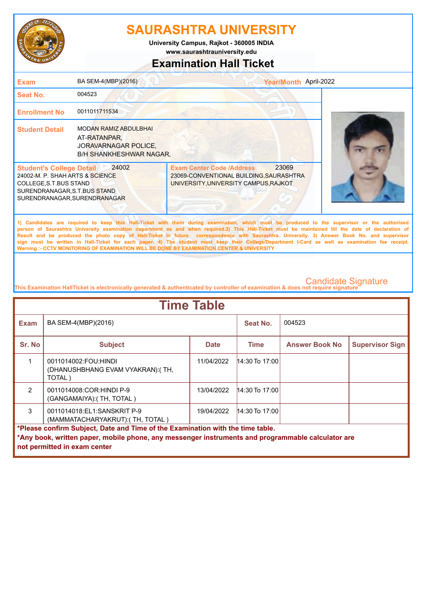

**www.saurashtrauniversity.edu University Campus, Rajkot - 360005 INDIA**

#### **Examination Hall Ticket**

| <b>Exam</b>                                                                                                                                                   | BA SEM-4(MBP)(2016)                                                                                           | Year/Month April-2022                                                                                                                                                                                                                                                                                                                                                                                                                                                                                                                                                                                                                                                                               |  |
|---------------------------------------------------------------------------------------------------------------------------------------------------------------|---------------------------------------------------------------------------------------------------------------|-----------------------------------------------------------------------------------------------------------------------------------------------------------------------------------------------------------------------------------------------------------------------------------------------------------------------------------------------------------------------------------------------------------------------------------------------------------------------------------------------------------------------------------------------------------------------------------------------------------------------------------------------------------------------------------------------------|--|
| Seat No.                                                                                                                                                      | 004523                                                                                                        |                                                                                                                                                                                                                                                                                                                                                                                                                                                                                                                                                                                                                                                                                                     |  |
| <b>Enrollment No</b>                                                                                                                                          | 0011011711534                                                                                                 |                                                                                                                                                                                                                                                                                                                                                                                                                                                                                                                                                                                                                                                                                                     |  |
| <b>Student Detail</b>                                                                                                                                         | <b>MODAN RAMIZ ABDULBHAI</b><br>AT-RATANPAR,<br><b>JORAVARNAGAR POLICE,</b><br><b>B/H SHANKHESHWAR NAGAR.</b> |                                                                                                                                                                                                                                                                                                                                                                                                                                                                                                                                                                                                                                                                                                     |  |
| <b>Student's College Detail</b><br>24002-M. P. SHAH ARTS & SCIENCE<br>COLLEGE, S.T. BUS STAND<br>SURENDRANAGAR, S.T.BUS STAND<br>SURENDRANAGAR, SURENDRANAGAR | 24002                                                                                                         | 23069<br><b>Exam Center Code /Address</b><br>23069-CONVENTIONAL BUILDING, SAURASHTRA<br>UNIVERSITY, UNIVERSITY CAMPUS, RAJKOT                                                                                                                                                                                                                                                                                                                                                                                                                                                                                                                                                                       |  |
|                                                                                                                                                               |                                                                                                               | 1) Candidates are required to keep this Hall-Ticket with them during examination, which must be produced to the supervisor or the authorised<br>person of Saurashtra University examination department as and when required.2) This Hall-Ticket must be maintained till the date of declaration of<br>Result and be produced the photo copy of Hall-Ticket in future correspondence with Saurashtra. University. 3) Answer Book No. and supervisor<br>sign must be written in Hall-Ticket for each paper. 4) The student must keep their College/Department I-Card as well as examination fee receipt.<br>Warning :- CCTV MONITORING OF EXAMINATION WILL BE DONE BY EXAMINATION CENTER & UNIVERSITY |  |

| <b>Time Table</b>                                                                                                                                                                                                   |                                                                     |             |                  |                       |                        |  |
|---------------------------------------------------------------------------------------------------------------------------------------------------------------------------------------------------------------------|---------------------------------------------------------------------|-------------|------------------|-----------------------|------------------------|--|
| <b>Exam</b>                                                                                                                                                                                                         | BA SEM-4(MBP)(2016)                                                 |             | Seat No.         | 004523                |                        |  |
| Sr. No                                                                                                                                                                                                              | <b>Subject</b>                                                      | <b>Date</b> | Time             | <b>Answer Book No</b> | <b>Supervisor Sign</b> |  |
|                                                                                                                                                                                                                     | 0011014002:FOU:HINDI<br>(DHANUSHBHANG EVAM VYAKRAN): (TH,<br>TOTAL) | 11/04/2022  | $14:30$ To 17:00 |                       |                        |  |
| $\mathcal{P}$                                                                                                                                                                                                       | 0011014008:COR:HINDI P-9<br>(GANGAMAIYA):( TH, TOTAL )              | 13/04/2022  | $14:30$ To 17:00 |                       |                        |  |
| 3                                                                                                                                                                                                                   | 0011014018:EL1:SANSKRIT P-9<br>(MAMMATACHARYAKRUT): (TH, TOTAL)     | 19/04/2022  | $14:30$ To 17:00 |                       |                        |  |
| *Please confirm Subject, Date and Time of the Examination with the time table.<br>*Any book, written paper, mobile phone, any messenger instruments and programmable calculator are<br>not permitted in exam center |                                                                     |             |                  |                       |                        |  |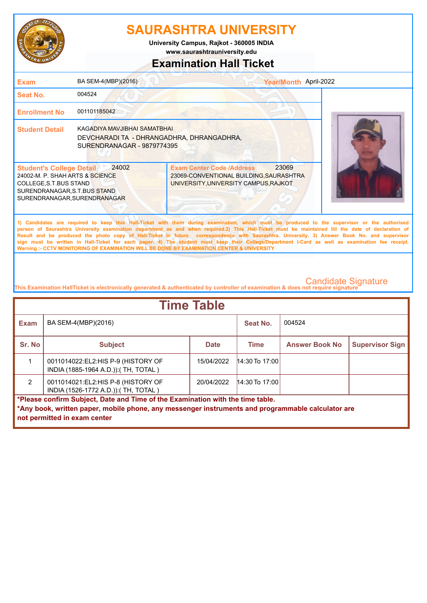

**www.saurashtrauniversity.edu University Campus, Rajkot - 360005 INDIA**

### **Examination Hall Ticket**

| <b>Exam</b>                                                                                                                                                   | BA SEM-4(MBP)(2016)                                                                                                                                                                                                                                                                                                                                                                                                                                                                                                                                                                                                                                                                                 |                                                                                                                                   | Year/Month April-2022 |                            |  |
|---------------------------------------------------------------------------------------------------------------------------------------------------------------|-----------------------------------------------------------------------------------------------------------------------------------------------------------------------------------------------------------------------------------------------------------------------------------------------------------------------------------------------------------------------------------------------------------------------------------------------------------------------------------------------------------------------------------------------------------------------------------------------------------------------------------------------------------------------------------------------------|-----------------------------------------------------------------------------------------------------------------------------------|-----------------------|----------------------------|--|
| Seat No.                                                                                                                                                      | 004524                                                                                                                                                                                                                                                                                                                                                                                                                                                                                                                                                                                                                                                                                              |                                                                                                                                   |                       |                            |  |
| <b>Enrollment No</b>                                                                                                                                          | 001101185042                                                                                                                                                                                                                                                                                                                                                                                                                                                                                                                                                                                                                                                                                        |                                                                                                                                   |                       |                            |  |
| <b>Student Detail</b>                                                                                                                                         | KAGADIYA MAVJIBHAI SAMATBHAI<br>DEVCHARADI TA - DHRANGADHRA, DHRANGADHRA,<br>SURENDRANAGAR - 9879774395                                                                                                                                                                                                                                                                                                                                                                                                                                                                                                                                                                                             |                                                                                                                                   |                       |                            |  |
| <b>Student's College Detail</b><br>24002-M. P. SHAH ARTS & SCIENCE<br>COLLEGE, S.T. BUS STAND<br>SURENDRANAGAR, S.T.BUS STAND<br>SURENDRANAGAR, SURENDRANAGAR | 24002                                                                                                                                                                                                                                                                                                                                                                                                                                                                                                                                                                                                                                                                                               | <b>Exam Center Code /Address</b><br>23069-CONVENTIONAL BUILDING, SAURASHTRA<br>UNIVERSITY, UNIVERSITY CAMPUS, RAJKOT              | 23069                 |                            |  |
|                                                                                                                                                               | 1) Candidates are required to keep this Hall-Ticket with them during examination, which must be produced to the supervisor or the authorised<br>person of Saurashtra University examination department as and when required.2) This Hall-Ticket must be maintained till the date of declaration of<br>Result and be produced the photo copy of Hall-Ticket in future correspondence with Saurashtra. University. 3) Answer Book No. and supervisor<br>sign must be written in Hall-Ticket for each paper. 4) The student must keep their College/Department I-Card as well as examination fee receipt.<br>Warning :- CCTV MONITORING OF EXAMINATION WILL BE DONE BY EXAMINATION CENTER & UNIVERSITY |                                                                                                                                   |                       |                            |  |
|                                                                                                                                                               |                                                                                                                                                                                                                                                                                                                                                                                                                                                                                                                                                                                                                                                                                                     | This Examination HallTicket is electronically generated & authenticated by controller of examination & does not require signature |                       | <b>Candidate Signature</b> |  |
|                                                                                                                                                               |                                                                                                                                                                                                                                                                                                                                                                                                                                                                                                                                                                                                                                                                                                     | .                                                                                                                                 |                       |                            |  |

| <b>Time Table</b>                                                                                 |                                                                              |             |                  |                       |                        |  |
|---------------------------------------------------------------------------------------------------|------------------------------------------------------------------------------|-------------|------------------|-----------------------|------------------------|--|
| <b>Exam</b>                                                                                       | BA SEM-4(MBP)(2016)                                                          |             | Seat No.         | 004524                |                        |  |
| Sr. No                                                                                            | <b>Subject</b>                                                               | <b>Date</b> | Time             | <b>Answer Book No</b> | <b>Supervisor Sign</b> |  |
|                                                                                                   | 0011014022: EL2: HIS P-9 (HISTORY OF<br>INDIA (1885-1964 A.D.)): (TH, TOTAL) | 15/04/2022  | $14:30$ To 17:00 |                       |                        |  |
| $\mathcal{P}$                                                                                     | 0011014021:EL2:HIS P-8 (HISTORY OF<br>INDIA (1526-1772 A.D.)): (TH, TOTAL)   | 20/04/2022  | $14:30$ To 17:00 |                       |                        |  |
| *Please confirm Subject, Date and Time of the Examination with the time table.                    |                                                                              |             |                  |                       |                        |  |
| *Any book, written paper, mobile phone, any messenger instruments and programmable calculator are |                                                                              |             |                  |                       |                        |  |
|                                                                                                   | not permitted in exam center                                                 |             |                  |                       |                        |  |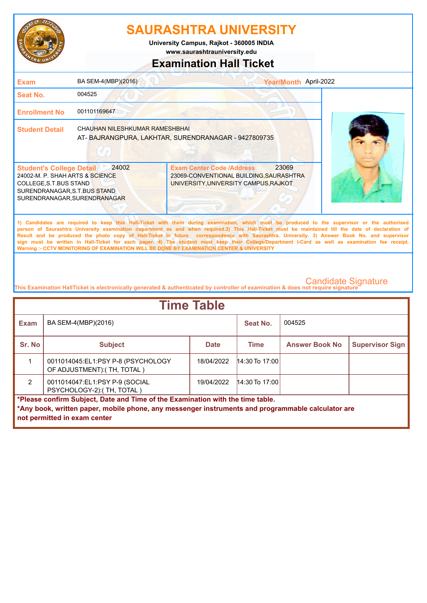

**University Campus, Rajkot - 360005 INDIA**

**www.saurashtrauniversity.edu**

#### **Examination Hall Ticket**

| <b>Exam</b>                                                                                                                                                  | BA SEM-4(MBP)(2016)            | Year/Month April-2022                                                                                                                                                                                                                                                                                                                                                                                                                                                                                                                                                                                                                                                                               |  |
|--------------------------------------------------------------------------------------------------------------------------------------------------------------|--------------------------------|-----------------------------------------------------------------------------------------------------------------------------------------------------------------------------------------------------------------------------------------------------------------------------------------------------------------------------------------------------------------------------------------------------------------------------------------------------------------------------------------------------------------------------------------------------------------------------------------------------------------------------------------------------------------------------------------------------|--|
| <b>Seat No.</b>                                                                                                                                              | 004525                         |                                                                                                                                                                                                                                                                                                                                                                                                                                                                                                                                                                                                                                                                                                     |  |
| <b>Enrollment No</b>                                                                                                                                         | 001101169647                   |                                                                                                                                                                                                                                                                                                                                                                                                                                                                                                                                                                                                                                                                                                     |  |
| <b>Student Detail</b>                                                                                                                                        | CHAUHAN NILESHKUMAR RAMESHBHAI | AT-BAJRANGPURA, LAKHTAR, SURENDRANAGAR - 9427809735                                                                                                                                                                                                                                                                                                                                                                                                                                                                                                                                                                                                                                                 |  |
| <b>Student's College Detail</b><br>24002-M. P. SHAH ARTS & SCIENCE<br>COLLEGE, S.T.BUS STAND<br>SURENDRANAGAR, S.T.BUS STAND<br>SURENDRANAGAR, SURENDRANAGAR | 24002                          | 23069<br><b>Exam Center Code /Address</b><br>23069-CONVENTIONAL BUILDING, SAURASHTRA<br>UNIVERSITY, UNIVERSITY CAMPUS, RAJKOT                                                                                                                                                                                                                                                                                                                                                                                                                                                                                                                                                                       |  |
|                                                                                                                                                              |                                | 1) Candidates are required to keep this Hall-Ticket with them during examination, which must be produced to the supervisor or the authorised<br>person of Saurashtra University examination department as and when required.2) This Hall-Ticket must be maintained till the date of declaration of<br>Result and be produced the photo copy of Hall-Ticket in future correspondence with Saurashtra. University. 3) Answer Book No. and supervisor<br>sign must be written in Hall-Ticket for each paper. 4) The student must keep their College/Department I-Card as well as examination fee receipt.<br>Warning :- CCTV MONITORING OF EXAMINATION WILL BE DONE BY EXAMINATION CENTER & UNIVERSITY |  |

| <b>Time Table</b>                                                              |                                                                                                                                   |             |                  |                       |                        |  |
|--------------------------------------------------------------------------------|-----------------------------------------------------------------------------------------------------------------------------------|-------------|------------------|-----------------------|------------------------|--|
| <b>Exam</b>                                                                    | BA SEM-4(MBP)(2016)                                                                                                               |             | Seat No.         | 004525                |                        |  |
| Sr. No                                                                         | <b>Subject</b>                                                                                                                    | <b>Date</b> | <b>Time</b>      | <b>Answer Book No</b> | <b>Supervisor Sign</b> |  |
|                                                                                | 0011014045:EL1:PSY P-8 (PSYCHOLOGY<br>OF ADJUSTMENT): (TH, TOTAL)                                                                 | 18/04/2022  | $14:30$ To 17:00 |                       |                        |  |
| $\mathcal{P}$                                                                  | 0011014047:EL1:PSY P-9 (SOCIAL<br>PSYCHOLOGY-2):(TH, TOTAL)                                                                       | 19/04/2022  | $14:30$ To 17:00 |                       |                        |  |
| *Please confirm Subject, Date and Time of the Examination with the time table. |                                                                                                                                   |             |                  |                       |                        |  |
|                                                                                | *Any book, written paper, mobile phone, any messenger instruments and programmable calculator are<br>not permitted in exam center |             |                  |                       |                        |  |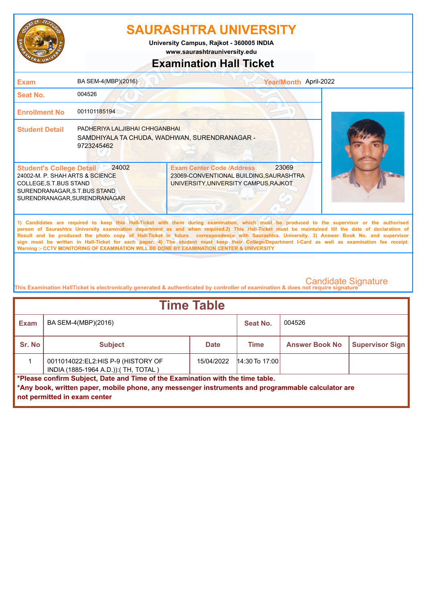

**www.saurashtrauniversity.edu University Campus, Rajkot - 360005 INDIA**

### **Examination Hall Ticket**

| <b>Exam</b>                                                                                                                                                                                                                                                                                                                                                                                                                                                                                                                                                                                                                                                                                         | BA SEM-4(MBP)(2016)                          |                                                                                                                      | Year/Month April-2022 |  |  |
|-----------------------------------------------------------------------------------------------------------------------------------------------------------------------------------------------------------------------------------------------------------------------------------------------------------------------------------------------------------------------------------------------------------------------------------------------------------------------------------------------------------------------------------------------------------------------------------------------------------------------------------------------------------------------------------------------------|----------------------------------------------|----------------------------------------------------------------------------------------------------------------------|-----------------------|--|--|
| Seat No.                                                                                                                                                                                                                                                                                                                                                                                                                                                                                                                                                                                                                                                                                            | 004526                                       |                                                                                                                      |                       |  |  |
| <b>Enrollment No</b>                                                                                                                                                                                                                                                                                                                                                                                                                                                                                                                                                                                                                                                                                | 001101185194                                 |                                                                                                                      |                       |  |  |
| <b>Student Detail</b>                                                                                                                                                                                                                                                                                                                                                                                                                                                                                                                                                                                                                                                                               | PADHERIYA LALJIBHAI CHHGANBHAI<br>9723245462 | SAMDHIYALA TA CHUDA, WADHWAN, SURENDRANAGAR -                                                                        |                       |  |  |
| <b>Student's College Detail</b><br>24002-M. P. SHAH ARTS & SCIENCE<br>COLLEGE, S.T.BUS STAND<br>SURENDRANAGAR, S.T.BUS STAND<br>SURENDRANAGAR, SURENDRANAGAR                                                                                                                                                                                                                                                                                                                                                                                                                                                                                                                                        | 24002                                        | <b>Exam Center Code /Address</b><br>23069-CONVENTIONAL BUILDING, SAURASHTRA<br>UNIVERSITY, UNIVERSITY CAMPUS, RAJKOT | 23069                 |  |  |
| 1) Candidates are required to keep this Hall-Ticket with them during examination, which must be produced to the supervisor or the authorised<br>person of Saurashtra University examination department as and when required.2) This Hall-Ticket must be maintained till the date of declaration of<br>Result and be produced the photo copy of Hall-Ticket in future correspondence with Saurashtra. University. 3) Answer Book No. and supervisor<br>sign must be written in Hall-Ticket for each paper. 4) The student must keep their College/Department I-Card as well as examination fee receipt.<br>Warning :- CCTV MONITORING OF EXAMINATION WILL BE DONE BY EXAMINATION CENTER & UNIVERSITY |                                              |                                                                                                                      |                       |  |  |
|                                                                                                                                                                                                                                                                                                                                                                                                                                                                                                                                                                                                                                                                                                     |                                              |                                                                                                                      |                       |  |  |

| <b>Time Table</b> |                                                                                                                                                                                                                              |             |                  |                       |                        |  |  |
|-------------------|------------------------------------------------------------------------------------------------------------------------------------------------------------------------------------------------------------------------------|-------------|------------------|-----------------------|------------------------|--|--|
| <b>Exam</b>       | BA SEM-4(MBP)(2016)                                                                                                                                                                                                          |             | Seat No.         | 004526                |                        |  |  |
| Sr. No            | <b>Subject</b>                                                                                                                                                                                                               | <b>Date</b> | <b>Time</b>      | <b>Answer Book No</b> | <b>Supervisor Sign</b> |  |  |
|                   | 0011014022:EL2:HIS P-9 (HISTORY OF<br>INDIA (1885-1964 A.D.)): (TH, TOTAL)                                                                                                                                                   | 15/04/2022  | $14:30$ To 17:00 |                       |                        |  |  |
|                   | <b>I</b> *Please confirm Subject, Date and Time of the Examination with the time table.<br>*Any book, written paper, mobile phone, any messenger instruments and programmable calculator are<br>not permitted in exam center |             |                  |                       |                        |  |  |